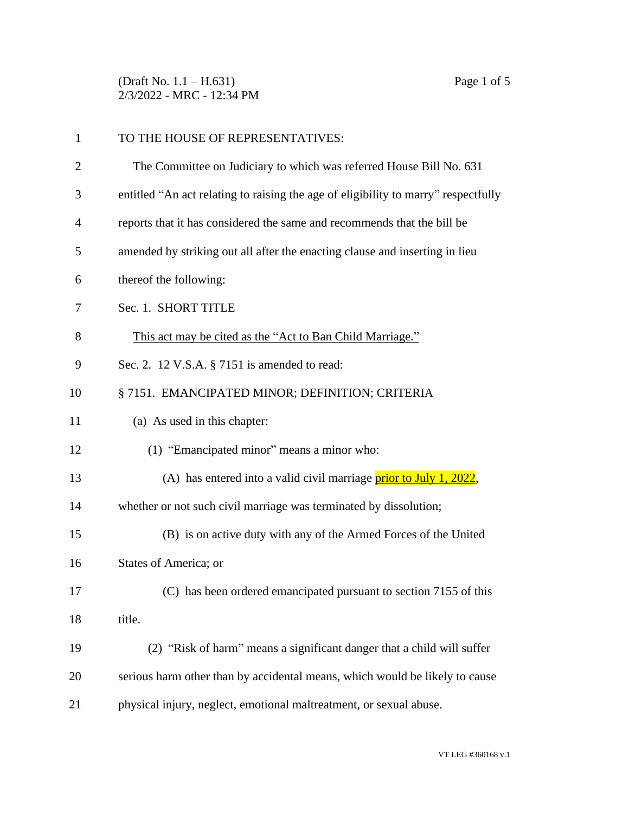(Draft No. 1.1 – H.631) Page 1 of 5 2/3/2022 - MRC - 12:34 PM

| $\mathbf{1}$   | TO THE HOUSE OF REPRESENTATIVES:                                                   |  |  |
|----------------|------------------------------------------------------------------------------------|--|--|
| $\overline{2}$ | The Committee on Judiciary to which was referred House Bill No. 631                |  |  |
| 3              | entitled "An act relating to raising the age of eligibility to marry" respectfully |  |  |
| $\overline{4}$ | reports that it has considered the same and recommends that the bill be            |  |  |
| 5              | amended by striking out all after the enacting clause and inserting in lieu        |  |  |
| 6              | thereof the following:                                                             |  |  |
| 7              | Sec. 1. SHORT TITLE                                                                |  |  |
| 8              | This act may be cited as the "Act to Ban Child Marriage."                          |  |  |
| 9              | Sec. 2. 12 V.S.A. § 7151 is amended to read:                                       |  |  |
| 10             | § 7151. EMANCIPATED MINOR; DEFINITION; CRITERIA                                    |  |  |
| 11             | (a) As used in this chapter:                                                       |  |  |
| 12             | (1) "Emancipated minor" means a minor who:                                         |  |  |
| 13             | (A) has entered into a valid civil marriage <b>prior to July 1, 2022</b> ,         |  |  |
| 14             | whether or not such civil marriage was terminated by dissolution;                  |  |  |
| 15             | (B) is on active duty with any of the Armed Forces of the United                   |  |  |
| 16             | States of America; or                                                              |  |  |
| 17             | (C) has been ordered emancipated pursuant to section 7155 of this                  |  |  |
| 18             | title.                                                                             |  |  |
| 19             | (2) "Risk of harm" means a significant danger that a child will suffer             |  |  |
| 20             | serious harm other than by accidental means, which would be likely to cause        |  |  |
| 21             | physical injury, neglect, emotional maltreatment, or sexual abuse.                 |  |  |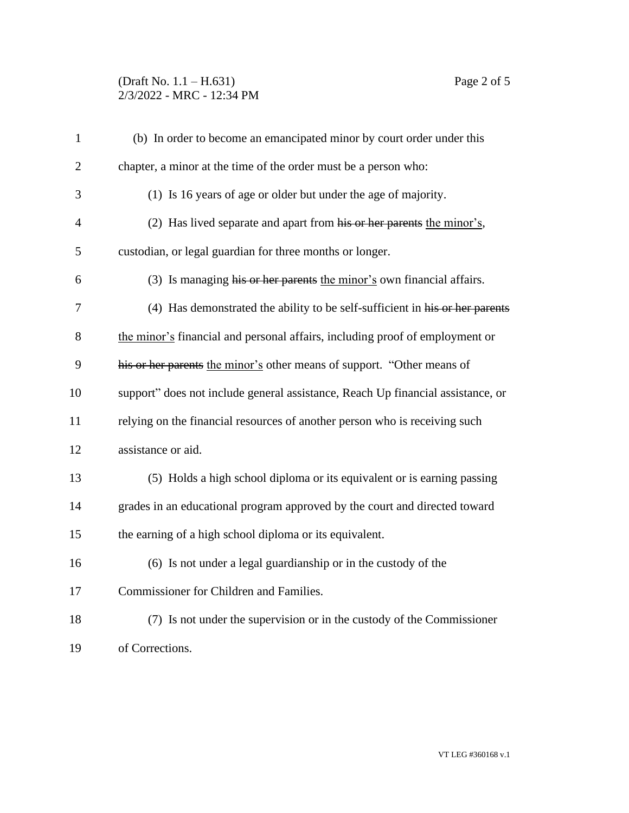## (Draft No. 1.1 – H.631) Page 2 of 5 2/3/2022 - MRC - 12:34 PM

| $\mathbf{1}$   | (b) In order to become an emancipated minor by court order under this              |  |  |
|----------------|------------------------------------------------------------------------------------|--|--|
| $\overline{2}$ | chapter, a minor at the time of the order must be a person who:                    |  |  |
| 3              | (1) Is 16 years of age or older but under the age of majority.                     |  |  |
| $\overline{4}$ | (2) Has lived separate and apart from $\overline{his}$ or her parents the minor's, |  |  |
| 5              | custodian, or legal guardian for three months or longer.                           |  |  |
| 6              | (3) Is managing his or her parents the minor's own financial affairs.              |  |  |
| 7              | (4) Has demonstrated the ability to be self-sufficient in his or her parents       |  |  |
| 8              | the minor's financial and personal affairs, including proof of employment or       |  |  |
| 9              | his or her parents the minor's other means of support. "Other means of             |  |  |
| 10             | support" does not include general assistance, Reach Up financial assistance, or    |  |  |
| 11             | relying on the financial resources of another person who is receiving such         |  |  |
| 12             | assistance or aid.                                                                 |  |  |
| 13             | (5) Holds a high school diploma or its equivalent or is earning passing            |  |  |
| 14             | grades in an educational program approved by the court and directed toward         |  |  |
| 15             | the earning of a high school diploma or its equivalent.                            |  |  |
| 16             | (6) Is not under a legal guardianship or in the custody of the                     |  |  |
| 17             | Commissioner for Children and Families.                                            |  |  |
| 18             | (7) Is not under the supervision or in the custody of the Commissioner             |  |  |
| 19             | of Corrections.                                                                    |  |  |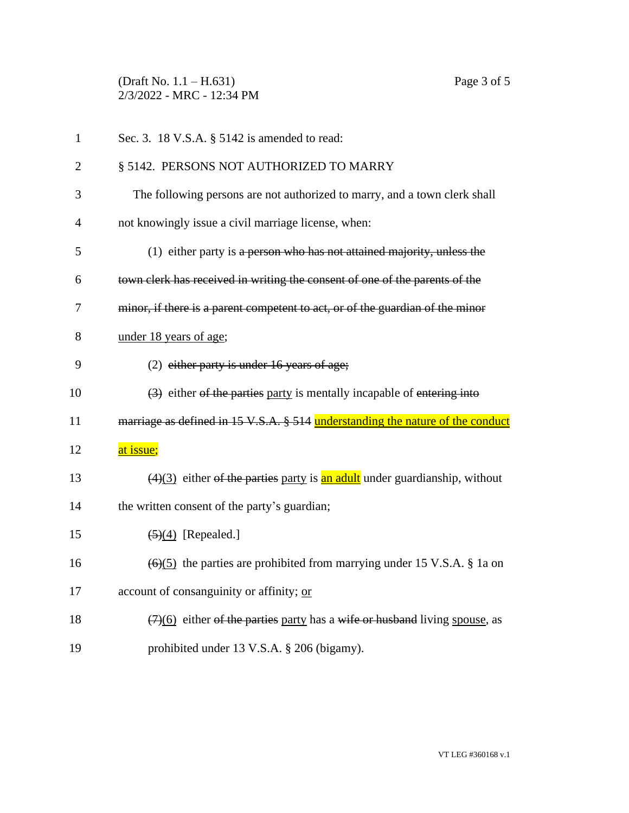(Draft No. 1.1 – H.631) Page 3 of 5 2/3/2022 - MRC - 12:34 PM

| $\mathbf{1}$   | Sec. 3. 18 V.S.A. § 5142 is amended to read:                                                   |
|----------------|------------------------------------------------------------------------------------------------|
| $\overline{2}$ | § 5142. PERSONS NOT AUTHORIZED TO MARRY                                                        |
| 3              | The following persons are not authorized to marry, and a town clerk shall                      |
| $\overline{4}$ | not knowingly issue a civil marriage license, when:                                            |
| 5              | (1) either party is a person who has not attained majority, unless the                         |
| 6              | town clerk has received in writing the consent of one of the parents of the                    |
| 7              | minor, if there is a parent competent to act, or of the guardian of the minor                  |
| 8              | under 18 years of age;                                                                         |
| 9              | (2) either party is under 16 years of age;                                                     |
| 10             | (3) either of the parties party is mentally incapable of entering into                         |
| 11             | marriage as defined in 15 V.S.A. § 514 understanding the nature of the conduct                 |
| 12             | at issue;                                                                                      |
| 13             | $\left(\frac{4}{3}\right)$ either of the parties party is an adult under guardianship, without |
| 14             | the written consent of the party's guardian;                                                   |
| 15             | $\left( \frac{5}{4} \right)$ [Repealed.]                                                       |
| 16             | $\left(\frac{6}{5}\right)$ the parties are prohibited from marrying under 15 V.S.A. § 1a on    |
| 17             | account of consanguinity or affinity; or                                                       |
| 18             | $(7)(6)$ either of the parties party has a wife or husband living spouse, as                   |
| 19             | prohibited under 13 V.S.A. § 206 (bigamy).                                                     |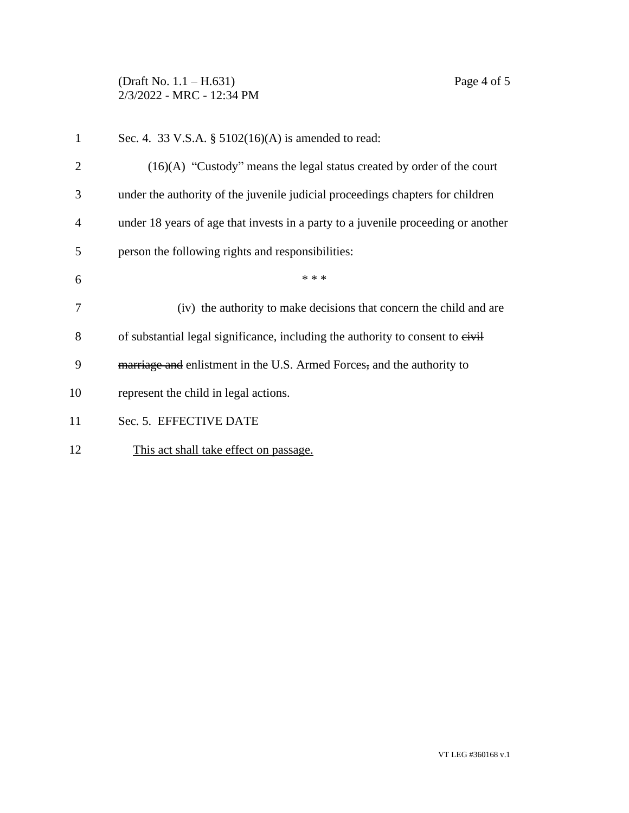(Draft No. 1.1 – H.631) Page 4 of 5 2/3/2022 - MRC - 12:34 PM

| $\mathbf{1}$   | Sec. 4. 33 V.S.A. § 5102(16)(A) is amended to read:                               |  |
|----------------|-----------------------------------------------------------------------------------|--|
| $\overline{2}$ | $(16)(A)$ "Custody" means the legal status created by order of the court          |  |
| 3              | under the authority of the juvenile judicial proceedings chapters for children    |  |
| $\overline{4}$ | under 18 years of age that invests in a party to a juvenile proceeding or another |  |
| 5              | person the following rights and responsibilities:                                 |  |
| 6              | * * *                                                                             |  |
| 7              | (iv) the authority to make decisions that concern the child and are               |  |
| 8              | of substantial legal significance, including the authority to consent to eivil    |  |
| 9              | marriage and enlistment in the U.S. Armed Forces, and the authority to            |  |
| 10             | represent the child in legal actions.                                             |  |
| 11             | Sec. 5. EFFECTIVE DATE                                                            |  |
| 12             | This act shall take effect on passage.                                            |  |